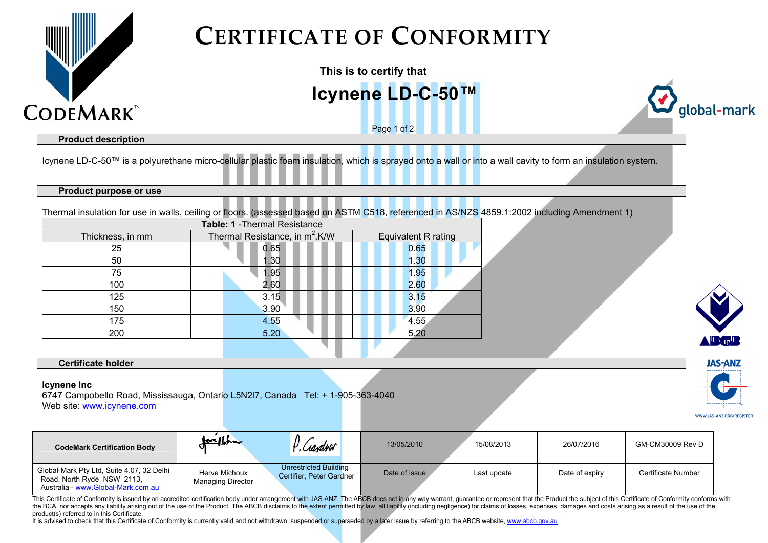

## **CERTIFICATE OF CONFORMITY**

| This is to certify that                                                                                       |                                                                                                       |                                                                                                                                                             |                |                          |
|---------------------------------------------------------------------------------------------------------------|-------------------------------------------------------------------------------------------------------|-------------------------------------------------------------------------------------------------------------------------------------------------------------|----------------|--------------------------|
|                                                                                                               |                                                                                                       | Icynene LD-C-50™                                                                                                                                            |                |                          |
| <b>CODEMARK</b>                                                                                               |                                                                                                       | Page 1 of 2                                                                                                                                                 |                | global-mark              |
| <b>Product description</b>                                                                                    |                                                                                                       |                                                                                                                                                             |                |                          |
|                                                                                                               |                                                                                                       | Icynene LD-C-50™ is a polyurethane micro-cellular plastic foam insulation, which is sprayed onto a wall or into a wall cavity to form an insulation system. |                |                          |
| Product purpose or use                                                                                        |                                                                                                       |                                                                                                                                                             |                |                          |
|                                                                                                               |                                                                                                       | Thermal insulation for use in walls, ceiling or floors. (assessed based on ASTM C518, referenced in AS/NZS 4859.1:2002 including Amendment 1)               |                |                          |
|                                                                                                               | Table: 1 - Thermal Resistance                                                                         |                                                                                                                                                             |                |                          |
| Thickness, in mm                                                                                              | Thermal Resistance, in m <sup>2</sup> .K/W                                                            | <b>Equivalent R rating</b>                                                                                                                                  |                |                          |
| 25                                                                                                            | 0.65                                                                                                  | 0.65                                                                                                                                                        |                |                          |
| 50                                                                                                            | 1.30                                                                                                  | 1.30                                                                                                                                                        |                |                          |
| 75                                                                                                            | 1.95                                                                                                  | 1.95                                                                                                                                                        |                |                          |
| 100                                                                                                           | 2.60                                                                                                  | 2.60                                                                                                                                                        |                |                          |
| 125                                                                                                           | 3.15                                                                                                  | 3.15                                                                                                                                                        |                |                          |
| 150                                                                                                           | 3.90                                                                                                  | 3.90                                                                                                                                                        |                |                          |
| 175                                                                                                           | 4.55                                                                                                  | 4.55                                                                                                                                                        |                |                          |
| 200                                                                                                           | 5.20                                                                                                  | 5.20                                                                                                                                                        |                |                          |
|                                                                                                               |                                                                                                       |                                                                                                                                                             |                |                          |
| <b>Certificate holder</b>                                                                                     |                                                                                                       |                                                                                                                                                             |                | <b>JAS-ANZ</b>           |
| <b>Icynene Inc</b><br>Web site: www.icynene.com                                                               | 6747 Campobello Road, Mississauga, Ontario L5N2I7, Canada Tel: + 1-905-363-4040                       |                                                                                                                                                             |                |                          |
|                                                                                                               |                                                                                                       |                                                                                                                                                             |                | WWW.JAS-ANZ.ORG/REGISTER |
| <b>CodeMark Certification Body</b>                                                                            | P. Cardror                                                                                            | 13/05/2010<br>15/08/2013                                                                                                                                    | 26/07/2016     | GM-CM30009 Rev D         |
| Global-Mark Pty Ltd, Suite 4.07, 32 Delhi<br>Road, North Ryde NSW 2113,<br>Australia - www.Global-Mark.com.au | <b>Unrestricted Building</b><br>Herve Michoux<br>Certifier, Peter Gardner<br><b>Managing Director</b> | Date of issue<br>Last update                                                                                                                                | Date of expiry | Certificate Number       |

This Certificate of Conformity is issued by an accredited certification body under arrangement with JAS-ANZ. The ABCB does not in any way warrant, quarantee or represent that the Product the subject of this Certificate of the BCA, nor accepts any liability arising out of the use of the Product. The ABCB disclaims to the extent permitted by law, all liability (including negligence) for claims of losses, expenses, damages and costs arising as product(s) referred to in this Certificate.

It is advised to check that this Certificate of Conformity is currently valid and not withdrawn, suspended or superseded by a later issue by referring to the ABCB website, www.abcb.gov.au